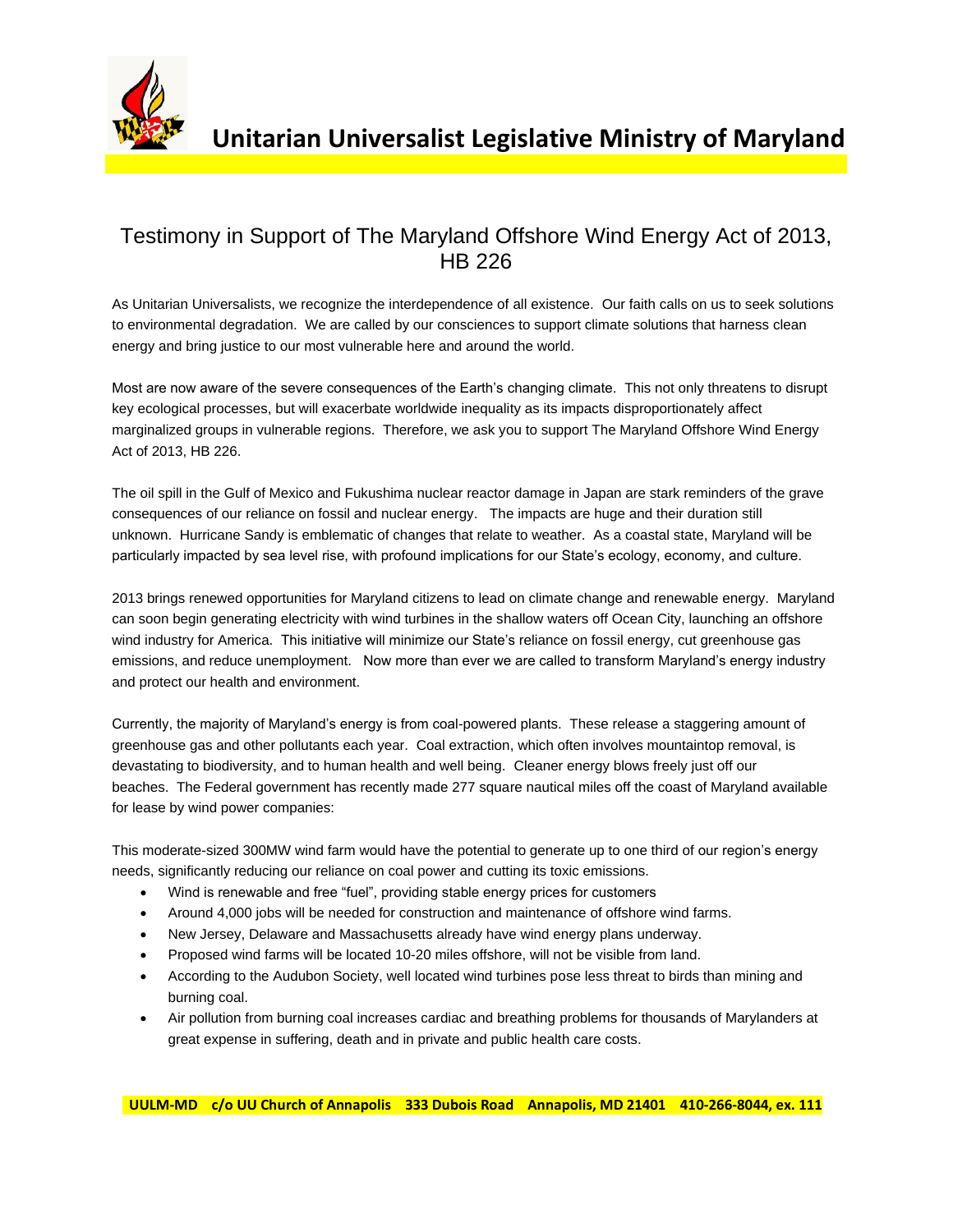

## Testimony in Support of The Maryland Offshore Wind Energy Act of 2013, HB 226

As Unitarian Universalists, we recognize the interdependence of all existence. Our faith calls on us to seek solutions to environmental degradation. We are called by our consciences to support climate solutions that harness clean energy and bring justice to our most vulnerable here and around the world.

Most are now aware of the severe consequences of the Earth's changing climate. This not only threatens to disrupt key ecological processes, but will exacerbate worldwide inequality as its impacts disproportionately affect marginalized groups in vulnerable regions. Therefore, we ask you to support The Maryland Offshore Wind Energy Act of 2013, HB 226.

The oil spill in the Gulf of Mexico and Fukushima nuclear reactor damage in Japan are stark reminders of the grave consequences of our reliance on fossil and nuclear energy. The impacts are huge and their duration still unknown. Hurricane Sandy is emblematic of changes that relate to weather. As a coastal state, Maryland will be particularly impacted by sea level rise, with profound implications for our State's ecology, economy, and culture.

2013 brings renewed opportunities for Maryland citizens to lead on climate change and renewable energy. Maryland can soon begin generating electricity with wind turbines in the shallow waters off Ocean City, launching an offshore wind industry for America. This initiative will minimize our State's reliance on fossil energy, cut greenhouse gas emissions, and reduce unemployment. Now more than ever we are called to transform Maryland's energy industry and protect our health and environment.

Currently, the majority of Maryland's energy is from coal-powered plants. These release a staggering amount of greenhouse gas and other pollutants each year. Coal extraction, which often involves mountaintop removal, is devastating to biodiversity, and to human health and well being. Cleaner energy blows freely just off our beaches. The Federal government has recently made 277 square nautical miles off the coast of Maryland available for lease by wind power companies:

This moderate-sized 300MW wind farm would have the potential to generate up to one third of our region's energy needs, significantly reducing our reliance on coal power and cutting its toxic emissions.

- Wind is renewable and free "fuel", providing stable energy prices for customers
- Around 4,000 jobs will be needed for construction and maintenance of offshore wind farms.
- New Jersey, Delaware and Massachusetts already have wind energy plans underway.
- Proposed wind farms will be located 10-20 miles offshore, will not be visible from land.
- According to the Audubon Society, well located wind turbines pose less threat to birds than mining and burning coal.
- Air pollution from burning coal increases cardiac and breathing problems for thousands of Marylanders at great expense in suffering, death and in private and public health care costs.